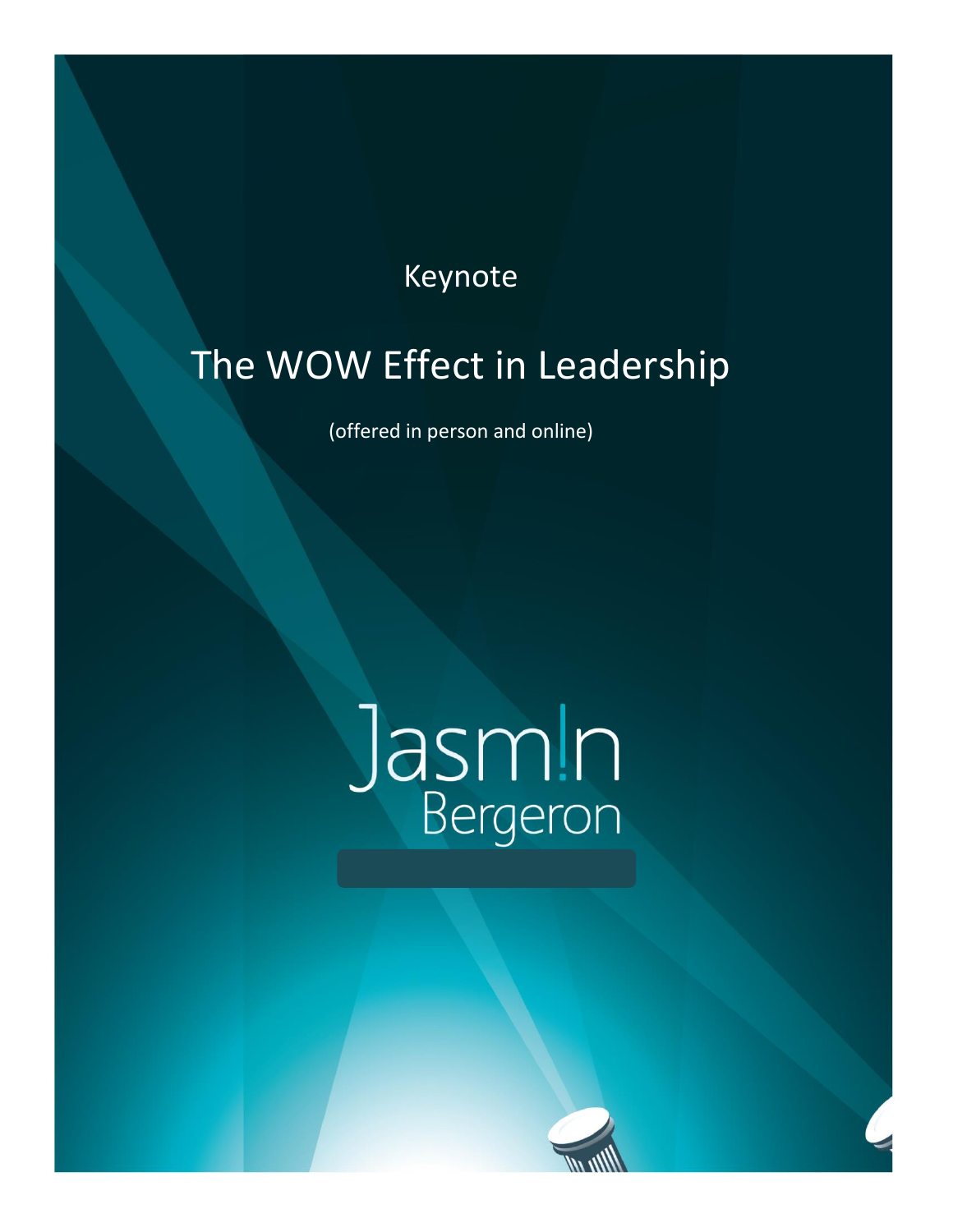## Keynote

# The WOW Effect in Leadership

(offered in person and online)

# Jasm!n

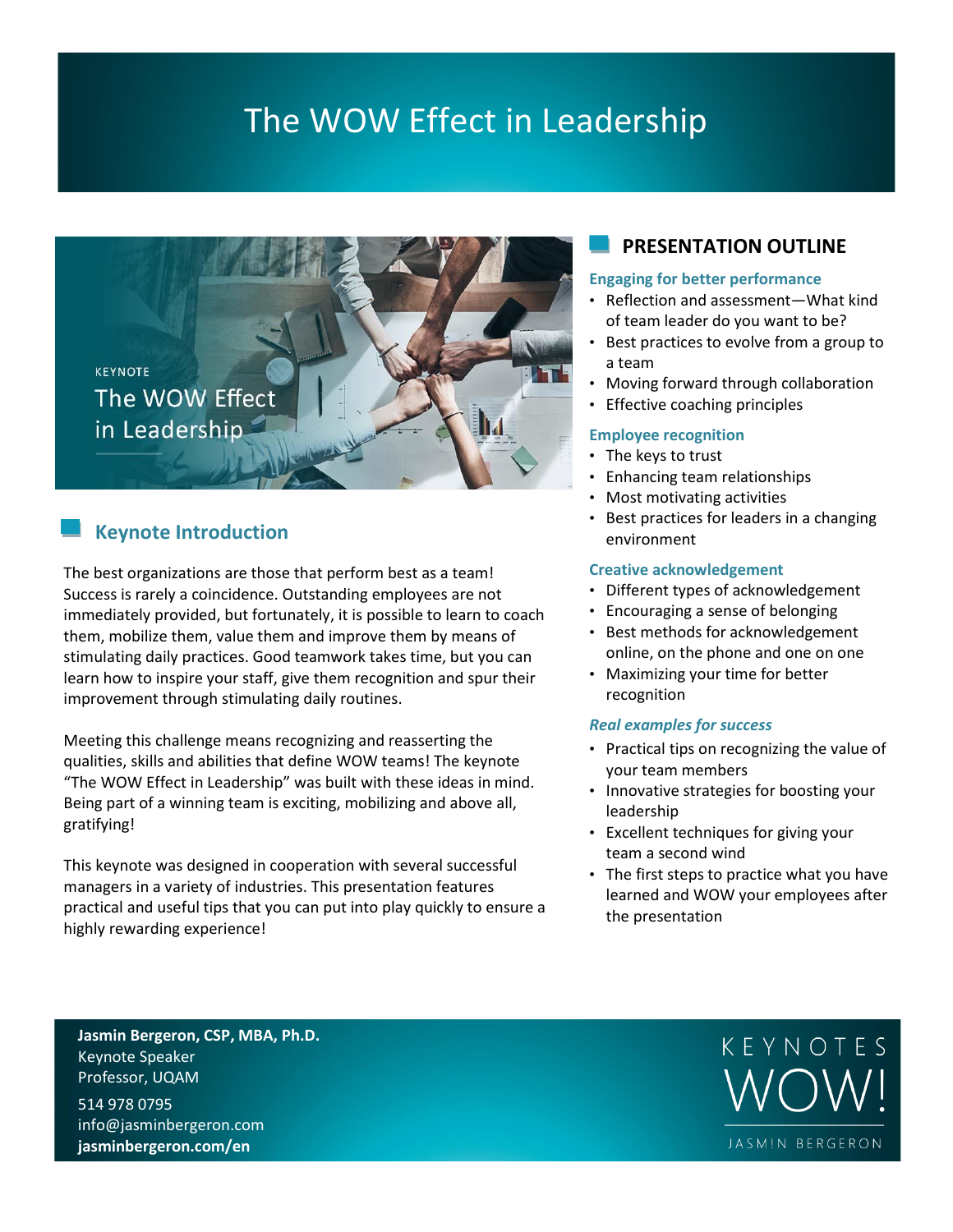# The WOW Effect in Leadership



## **Keynote Introduction**

The best organizations are those that perform best as a team! Success is rarely a coincidence. Outstanding employees are not immediately provided, but fortunately, it is possible to learn to coach them, mobilize them, value them and improve them by means of stimulating daily practices. Good teamwork takes time, but you can learn how to inspire your staff, give them recognition and spur their improvement through stimulating daily routines.

Meeting this challenge means recognizing and reasserting the qualities, skills and abilities that define WOW teams! The keynote "The WOW Effect in Leadership" was built with these ideas in mind. Being part of a winning team is exciting, mobilizing and above all, gratifying!

This keynote was designed in cooperation with several successful managers in a variety of industries. This presentation features practical and useful tips that you can put into play quickly to ensure a highly rewarding experience!

### **PRESENTATION OUTLINE**

#### **Engaging for better performance**

- Reflection and assessment—What kind of team leader do you want to be?
- Best practices to evolve from a group to a team
- Moving forward through collaboration
- Effective coaching principles

#### **Employee recognition**

- The keys to trust
- Enhancing team relationships
- Most motivating activities
- Best practices for leaders in a changing environment

#### **Creative acknowledgement**

- Different types of acknowledgement
- Encouraging a sense of belonging
- Best methods for acknowledgement online, on the phone and one on one
- Maximizing your time for better recognition

#### *Real examples for success*

- Practical tips on recognizing the value of your team members
- Innovative strategies for boosting your leadership
- Excellent techniques for giving your team a second wind
- The first steps to practice what you have learned and WOW your employees after the presentation

**Jasmin Bergeron, CSP, MBA, Ph.D.** Keynote Speaker Professor, UQAM

514 978 0795 info@jasminbergeron.com **jasminbergeron.com/en**